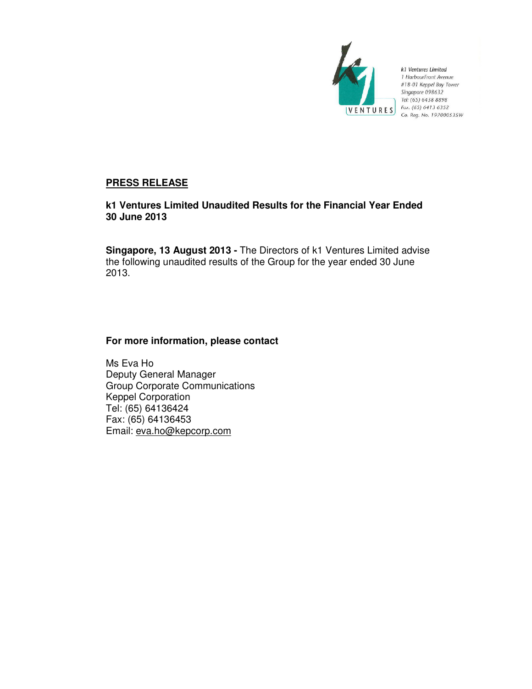

k1 Ventures Limited 1 HarbourFront Avenue<br>#18-01 Keppel Bay Tower Singapore 098632 Tel: (65) 6438 8898 **VENTURES**  $\begin{array}{c} \n\text{For: } (65) \text{ 6413 } 6352 \\
\text{Co. } \text{Re}a. \text{ No. } 1970005\n\end{array}$ Co. Reg. No. 197000535W

# **PRESS RELEASE**

**k1 Ventures Limited Unaudited Results for the Financial Year Ended 30 June 2013** 

**Singapore, 13 August 2013 -** The Directors of k1 Ventures Limited advise the following unaudited results of the Group for the year ended 30 June 2013.

## **For more information, please contact**

Ms Eva Ho Deputy General Manager Group Corporate Communications Keppel Corporation Tel: (65) 64136424 Fax: (65) 64136453 Email: eva.ho@kepcorp.com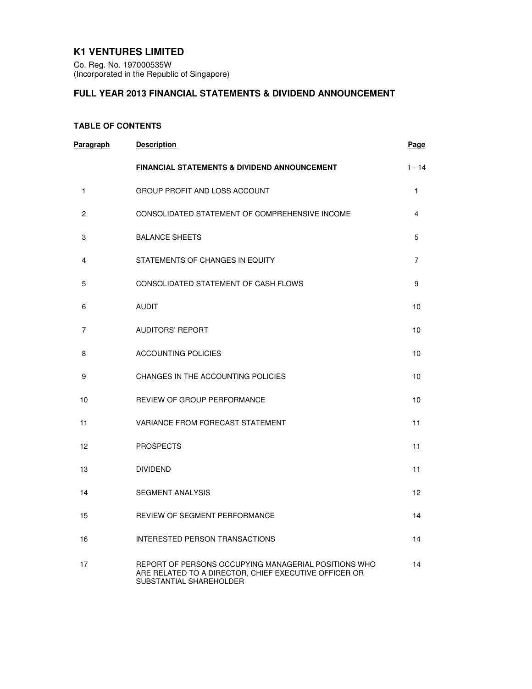## **K1 VENTURES LIMITED**

Co. Reg. No. 197000535W (Incorporated in the Republic of Singapore)

# **FULL YEAR 2013 FINANCIAL STATEMENTS & DIVIDEND ANNOUNCEMENT**

## **TABLE OF CONTENTS**

| Paragraph    | <b>Description</b>                                                                                                                       | <b>Page</b>    |
|--------------|------------------------------------------------------------------------------------------------------------------------------------------|----------------|
|              | <b>FINANCIAL STATEMENTS &amp; DIVIDEND ANNOUNCEMENT</b>                                                                                  | $1 - 14$       |
| $\mathbf{1}$ | <b>GROUP PROFIT AND LOSS ACCOUNT</b>                                                                                                     | $\mathbf{1}$   |
| 2            | CONSOLIDATED STATEMENT OF COMPREHENSIVE INCOME                                                                                           | 4              |
| 3            | <b>BALANCE SHEETS</b>                                                                                                                    | 5              |
| 4            | STATEMENTS OF CHANGES IN EQUITY                                                                                                          | $\overline{7}$ |
| 5            | CONSOLIDATED STATEMENT OF CASH FLOWS                                                                                                     | 9              |
| 6            | <b>AUDIT</b>                                                                                                                             | 10             |
| 7            | <b>AUDITORS' REPORT</b>                                                                                                                  | 10             |
| 8            | <b>ACCOUNTING POLICIES</b>                                                                                                               | 10             |
| 9            | CHANGES IN THE ACCOUNTING POLICIES                                                                                                       | 10             |
| 10           | REVIEW OF GROUP PERFORMANCE                                                                                                              | 10             |
| 11           | VARIANCE FROM FORECAST STATEMENT                                                                                                         | 11             |
| 12           | <b>PROSPECTS</b>                                                                                                                         | 11             |
| 13           | <b>DIVIDEND</b>                                                                                                                          | 11             |
| 14           | <b>SEGMENT ANALYSIS</b>                                                                                                                  | 12             |
| 15           | REVIEW OF SEGMENT PERFORMANCE                                                                                                            | 14             |
| 16           | INTERESTED PERSON TRANSACTIONS                                                                                                           | 14             |
| 17           | REPORT OF PERSONS OCCUPYING MANAGERIAL POSITIONS WHO<br>ARE RELATED TO A DIRECTOR, CHIEF EXECUTIVE OFFICER OR<br>SUBSTANTIAL SHAREHOLDER | 14             |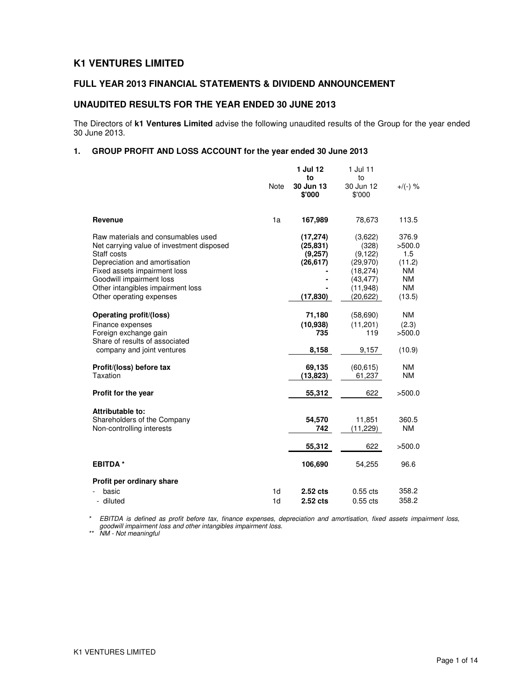## **K1 VENTURES LIMITED**

## **FULL YEAR 2013 FINANCIAL STATEMENTS & DIVIDEND ANNOUNCEMENT**

### **UNAUDITED RESULTS FOR THE YEAR ENDED 30 JUNE 2013**

The Directors of **k1 Ventures Limited** advise the following unaudited results of the Group for the year ended 30 June 2013.

## **1. GROUP PROFIT AND LOSS ACCOUNT for the year ended 30 June 2013**

|                                                               | <b>Note</b>    | 1 Jul 12<br>to<br>30 Jun 13 | 1 Jul 11<br>to<br>30 Jun 12 | $+/(-)$ %              |
|---------------------------------------------------------------|----------------|-----------------------------|-----------------------------|------------------------|
|                                                               |                | \$'000                      | \$'000                      |                        |
| Revenue                                                       | 1a             | 167,989                     | 78,673                      | 113.5                  |
| Raw materials and consumables used                            |                | (17, 274)                   | (3,622)                     | 376.9                  |
| Net carrying value of investment disposed<br>Staff costs      |                | (25, 831)<br>(9,257)        | (328)<br>(9, 122)           | >500.0<br>1.5          |
| Depreciation and amortisation                                 |                | (26, 617)                   | (29,970)                    | (11.2)                 |
| Fixed assets impairment loss                                  |                |                             | (18, 274)                   | <b>NM</b>              |
| Goodwill impairment loss<br>Other intangibles impairment loss |                |                             | (43, 477)<br>(11, 948)      | <b>NM</b><br><b>NM</b> |
| Other operating expenses                                      |                | (17, 830)                   | (20, 622)                   | (13.5)                 |
|                                                               |                |                             |                             |                        |
| Operating profit/(loss)                                       |                | 71,180                      | (58, 690)                   | <b>NM</b>              |
| Finance expenses<br>Foreign exchange gain                     |                | (10, 938)<br>735            | (11, 201)<br>119            | (2.3)<br>>500.0        |
| Share of results of associated                                |                |                             |                             |                        |
| company and joint ventures                                    |                | 8,158                       | 9,157                       | (10.9)                 |
| Profit/(loss) before tax                                      |                | 69,135                      | (60, 615)                   | <b>NM</b>              |
| Taxation                                                      |                | (13, 823)                   | 61,237                      | <b>NM</b>              |
| Profit for the year                                           |                | 55,312                      | 622                         | >500.0                 |
| Attributable to:                                              |                |                             |                             |                        |
| Shareholders of the Company                                   |                | 54,570                      | 11,851                      | 360.5                  |
| Non-controlling interests                                     |                | 742                         | (11, 229)                   | <b>NM</b>              |
|                                                               |                | 55,312                      | 622                         | >500.0                 |
| <b>EBITDA*</b>                                                |                | 106,690                     | 54,255                      | 96.6                   |
| Profit per ordinary share                                     |                |                             |                             |                        |
| basic                                                         | 1 <sub>d</sub> | $2.52$ cts                  | $0.55$ cts                  | 358.2                  |
| - diluted                                                     | 1 <sub>d</sub> | 2.52 cts                    | $0.55$ cts                  | 358.2                  |

\* EBITDA is defined as profit before tax, finance expenses, depreciation and amortisation, fixed assets impairment loss, goodwill impairment loss and other intangibles impairment loss.

\*\* NM - Not meaningful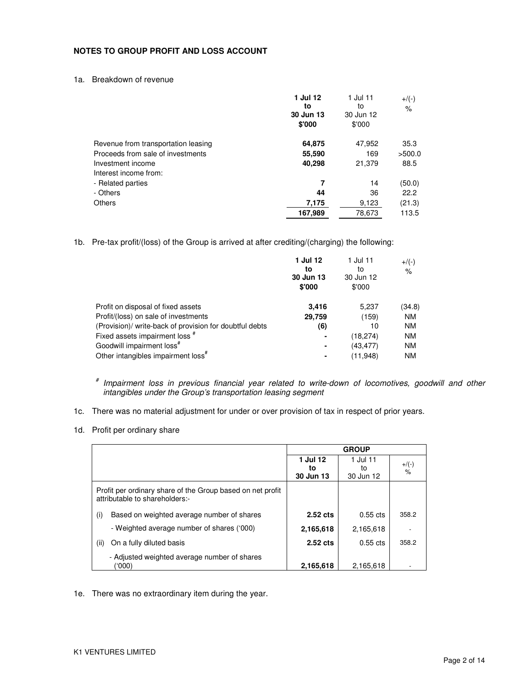#### **NOTES TO GROUP PROFIT AND LOSS ACCOUNT**

1a. Breakdown of revenue

|                                     | 1 Jul 12<br>to<br>30 Jun 13<br>\$'000 | 1 Jul 11<br>to<br>30 Jun 12<br>\$'000 | $+$ /(-)<br>$\%$ |
|-------------------------------------|---------------------------------------|---------------------------------------|------------------|
| Revenue from transportation leasing | 64,875                                | 47,952                                | 35.3             |
| Proceeds from sale of investments   | 55,590                                | 169                                   | >500.0           |
| Investment income                   | 40,298                                | 21,379                                | 88.5             |
| Interest income from:               |                                       |                                       |                  |
| - Related parties                   | 7                                     | 14                                    | (50.0)           |
| - Others                            | 44                                    | 36                                    | 22.2             |
| <b>Others</b>                       | 7,175                                 | 9,123                                 | (21.3)           |
|                                     | 167,989                               | 78,673                                | 113.5            |

1b. Pre-tax profit/(loss) of the Group is arrived at after crediting/(charging) the following:

|                                                         | 1 Jul 12<br>to<br>30 Jun 13<br>\$'000 | 1 Jul 11<br>to<br>30 Jun 12<br>\$'000 | $+$ /(-)<br>$\%$ |
|---------------------------------------------------------|---------------------------------------|---------------------------------------|------------------|
| Profit on disposal of fixed assets                      | 3.416                                 | 5,237                                 | (34.8)           |
| Profit/(loss) on sale of investments                    | 29,759                                | (159)                                 | <b>NM</b>        |
| (Provision)/ write-back of provision for doubtful debts | (6)                                   | 10                                    | <b>NM</b>        |
| Fixed assets impairment loss #                          | ۰                                     | (18, 274)                             | <b>NM</b>        |
| Goodwill impairment loss <sup>#</sup>                   | $\blacksquare$                        | (43, 477)                             | <b>NM</b>        |
| Other intangibles impairment loss <sup>#</sup>          |                                       | (11,948)                              | <b>NM</b>        |

# Impairment loss in previous financial year related to write-down of locomotives, goodwill and other intangibles under the Group's transportation leasing segment

- 1c. There was no material adjustment for under or over provision of tax in respect of prior years.
- 1d. Profit per ordinary share

|                                                                                              |                             | <b>GROUP</b>                |                                |
|----------------------------------------------------------------------------------------------|-----------------------------|-----------------------------|--------------------------------|
|                                                                                              | 1 Jul 12<br>to<br>30 Jun 13 | 1 Jul 11<br>to<br>30 Jun 12 | $+$ /(-)<br>$\frac{1}{\alpha}$ |
| Profit per ordinary share of the Group based on net profit<br>attributable to shareholders:- |                             |                             |                                |
| Based on weighted average number of shares<br>(i)                                            | 2.52 cts                    | $0.55$ cts                  | 358.2                          |
| - Weighted average number of shares ('000)                                                   | 2,165,618                   | 2,165,618                   |                                |
| On a fully diluted basis<br>(ii)                                                             | $2.52$ cts                  | $0.55$ cts                  | 358.2                          |
| - Adjusted weighted average number of shares<br>('000)                                       | 2,165,618                   | 2,165,618                   |                                |

1e. There was no extraordinary item during the year.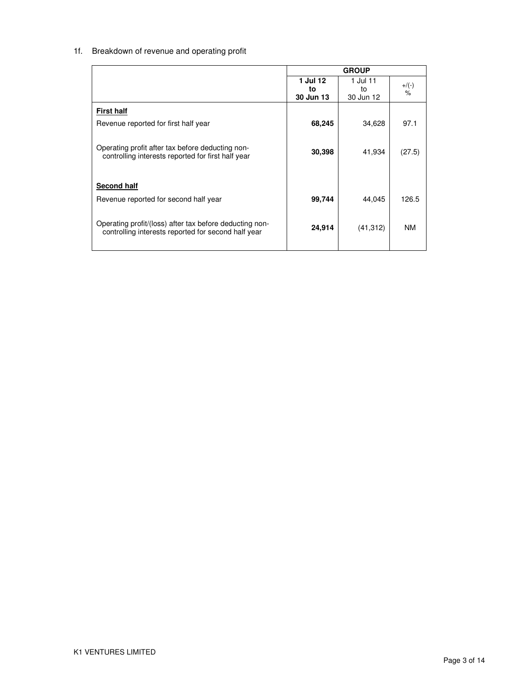# 1f. Breakdown of revenue and operating profit

|                                                                                                        |           | <b>GROUP</b> |           |
|--------------------------------------------------------------------------------------------------------|-----------|--------------|-----------|
|                                                                                                        | 1 Jul 12  | 1 Jul 11     | $+$ /(-)  |
|                                                                                                        | to        | to           | $\%$      |
|                                                                                                        | 30 Jun 13 | 30 Jun 12    |           |
| <b>First half</b>                                                                                      |           |              |           |
| Revenue reported for first half year                                                                   | 68,245    | 34,628       | 97.1      |
|                                                                                                        |           |              |           |
| Operating profit after tax before deducting non-<br>controlling interests reported for first half year | 30,398    | 41,934       | (27.5)    |
|                                                                                                        |           |              |           |
|                                                                                                        |           |              |           |
| <b>Second half</b>                                                                                     |           |              |           |
| Revenue reported for second half year                                                                  | 99,744    | 44,045       | 126.5     |
|                                                                                                        |           |              |           |
| Operating profit/(loss) after tax before deducting non-                                                | 24,914    | (41, 312)    | <b>NM</b> |
| controlling interests reported for second half year                                                    |           |              |           |
|                                                                                                        |           |              |           |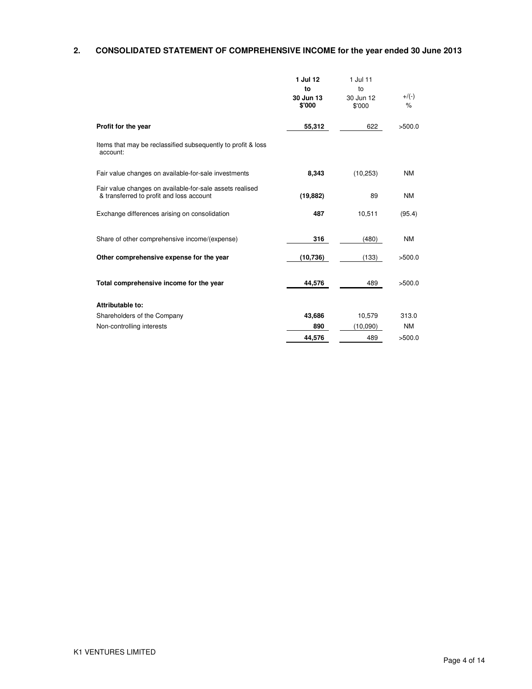# **2. CONSOLIDATED STATEMENT OF COMPREHENSIVE INCOME for the year ended 30 June 2013**

|                                                                                                      | 1 Jul 12<br>to<br>30 Jun 13<br>\$'000 | 1 Jul 11<br>to<br>30 Jun 12<br>\$'000 | $+$ /(-)<br>$\frac{9}{6}$ |
|------------------------------------------------------------------------------------------------------|---------------------------------------|---------------------------------------|---------------------------|
| Profit for the year                                                                                  | 55,312                                | 622                                   | >500.0                    |
| Items that may be reclassified subsequently to profit & loss<br>account:                             |                                       |                                       |                           |
| Fair value changes on available-for-sale investments                                                 | 8,343                                 | (10, 253)                             | <b>NM</b>                 |
| Fair value changes on available-for-sale assets realised<br>& transferred to profit and loss account | (19, 882)                             | 89                                    | <b>NM</b>                 |
| Exchange differences arising on consolidation                                                        | 487                                   | 10,511                                | (95.4)                    |
| Share of other comprehensive income/(expense)                                                        | 316                                   | (480)                                 | <b>NM</b>                 |
| Other comprehensive expense for the year                                                             | (10, 736)                             | (133)                                 | >500.0                    |
| Total comprehensive income for the year                                                              | 44,576                                | 489                                   | >500.0                    |
| Attributable to:                                                                                     |                                       |                                       |                           |
| Shareholders of the Company                                                                          | 43,686                                | 10,579                                | 313.0                     |
| Non-controlling interests                                                                            | 890                                   | (10,090)                              | <b>NM</b>                 |
|                                                                                                      | 44,576                                | 489                                   | >500.0                    |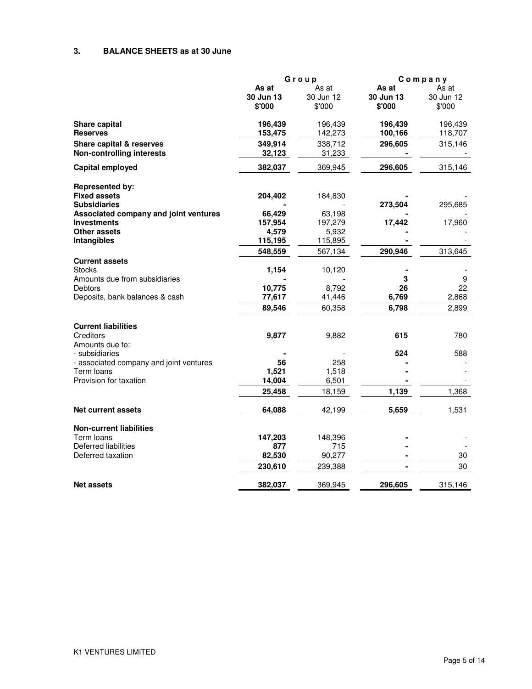## **3. BALANCE SHEETS as at 30 June**

|                                         |           | Group     |           | Company   |  |
|-----------------------------------------|-----------|-----------|-----------|-----------|--|
|                                         | As at     | As at     | As at     | As at     |  |
|                                         | 30 Jun 13 | 30 Jun 12 | 30 Jun 13 | 30 Jun 12 |  |
|                                         | \$'000    | \$'000    | \$'000    | \$'000    |  |
| <b>Share capital</b>                    | 196,439   | 196,439   | 196,439   | 196,439   |  |
| <b>Reserves</b>                         | 153,475   | 142,273   | 100,166   | 118,707   |  |
| Share capital & reserves                | 349,914   | 338,712   | 296,605   | 315,146   |  |
| <b>Non-controlling interests</b>        | 32,123    | 31,233    |           |           |  |
| <b>Capital employed</b>                 | 382,037   | 369,945   | 296,605   | 315,146   |  |
|                                         |           |           |           |           |  |
| <b>Represented by:</b>                  |           |           |           |           |  |
| <b>Fixed assets</b>                     | 204,402   | 184,830   |           |           |  |
| <b>Subsidiaries</b>                     |           |           | 273,504   | 295,685   |  |
| Associated company and joint ventures   | 66,429    | 63,198    |           |           |  |
| <b>Investments</b>                      | 157,954   | 197,279   | 17,442    | 17,960    |  |
| Other assets                            | 4,579     | 5,932     |           |           |  |
|                                         |           |           |           |           |  |
| Intangibles                             | 115,195   | 115,895   |           |           |  |
|                                         | 548,559   | 567,134   | 290,946   | 313,645   |  |
| <b>Current assets</b><br><b>Stocks</b>  |           |           |           |           |  |
|                                         | 1,154     | 10,120    |           |           |  |
| Amounts due from subsidiaries           |           |           | 3         | 9         |  |
| <b>Debtors</b>                          | 10,775    | 8,792     | 26        | 22        |  |
| Deposits, bank balances & cash          | 77,617    | 41,446    | 6,769     | 2,868     |  |
|                                         | 89,546    | 60,358    | 6,798     | 2,899     |  |
| <b>Current liabilities</b>              |           |           |           |           |  |
| Creditors                               | 9,877     | 9,882     | 615       | 780       |  |
| Amounts due to:                         |           |           |           |           |  |
| - subsidiaries                          |           |           | 524       | 588       |  |
| - associated company and joint ventures | 56        | 258       |           |           |  |
| Term Ioans                              | 1,521     | 1,518     |           |           |  |
| Provision for taxation                  |           |           |           |           |  |
|                                         | 14,004    | 6,501     |           |           |  |
|                                         | 25,458    | 18,159    | 1,139     | 1,368     |  |
| Net current assets                      | 64,088    | 42,199    | 5,659     | 1,531     |  |
|                                         |           |           |           |           |  |
| <b>Non-current liabilities</b>          |           |           |           |           |  |
| Term Ioans                              | 147,203   | 148,396   |           |           |  |
| Deferred liabilities                    | 877       | 715       |           |           |  |
| Deferred taxation                       | 82,530    | 90,277    |           | 30        |  |
|                                         | 230,610   | 239,388   |           | 30        |  |
| <b>Net assets</b>                       | 382,037   | 369,945   | 296,605   | 315,146   |  |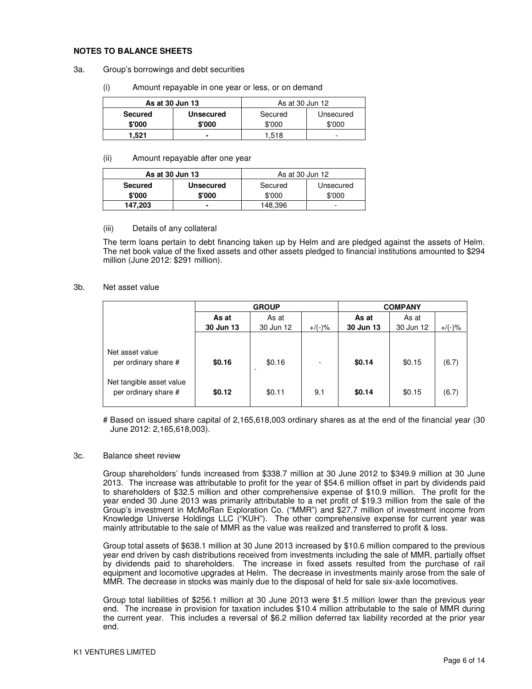#### **NOTES TO BALANCE SHEETS**

#### 3a. Group's borrowings and debt securities

(i) Amount repayable in one year or less, or on demand

| As at 30 Jun 13 |                  | As at 30 Jun 12      |        |  |
|-----------------|------------------|----------------------|--------|--|
| <b>Secured</b>  | <b>Unsecured</b> | Secured<br>Unsecured |        |  |
| \$'000          | \$'000           | \$'000               | \$'000 |  |
| 1.521           |                  | ∣.518                | -      |  |

#### (ii) Amount repayable after one year

| As at 30 Jun 13 |                  | As at 30 Jun 12      |        |  |
|-----------------|------------------|----------------------|--------|--|
| <b>Secured</b>  | <b>Unsecured</b> | Secured<br>Unsecured |        |  |
| \$'000          | \$'000           | \$'000               | \$'000 |  |
| 147,203         |                  | 148,396              | -      |  |

#### (iii) Details of any collateral

The term loans pertain to debt financing taken up by Helm and are pledged against the assets of Helm. The net book value of the fixed assets and other assets pledged to financial institutions amounted to \$294 million (June 2012: \$291 million).

#### 3b. Net asset value

|                                                  | <b>GROUP</b> |                   |           | <b>COMPANY</b> |           |           |  |
|--------------------------------------------------|--------------|-------------------|-----------|----------------|-----------|-----------|--|
|                                                  | As at        | As at             |           | As at          | As at     |           |  |
|                                                  | 30 Jun 13    | 30 Jun 12         | $+$ /(-)% | 30 Jun 13      | 30 Jun 12 | $+/(-)$ % |  |
| Net asset value                                  |              |                   |           |                |           |           |  |
| per ordinary share #<br>Net tangible asset value | \$0.16       | \$0.16<br>$\cdot$ |           | \$0.14         | \$0.15    | (6.7)     |  |
| per ordinary share #                             | \$0.12       | \$0.11            | 9.1       | \$0.14         | \$0.15    | (6.7)     |  |

# Based on issued share capital of 2,165,618,003 ordinary shares as at the end of the financial year (30 June 2012: 2,165,618,003).

#### 3c. Balance sheet review

Group shareholders' funds increased from \$338.7 million at 30 June 2012 to \$349.9 million at 30 June 2013. The increase was attributable to profit for the year of \$54.6 million offset in part by dividends paid to shareholders of \$32.5 million and other comprehensive expense of \$10.9 million. The profit for the year ended 30 June 2013 was primarily attributable to a net profit of \$19.3 million from the sale of the Group's investment in McMoRan Exploration Co. ("MMR") and \$27.7 million of investment income from Knowledge Universe Holdings LLC ("KUH"). The other comprehensive expense for current year was mainly attributable to the sale of MMR as the value was realized and transferred to profit & loss.

Group total assets of \$638.1 million at 30 June 2013 increased by \$10.6 million compared to the previous year end driven by cash distributions received from investments including the sale of MMR, partially offset by dividends paid to shareholders. The increase in fixed assets resulted from the purchase of rail equipment and locomotive upgrades at Helm. The decrease in investments mainly arose from the sale of MMR. The decrease in stocks was mainly due to the disposal of held for sale six-axle locomotives.

Group total liabilities of \$256.1 million at 30 June 2013 were \$1.5 million lower than the previous year end. The increase in provision for taxation includes \$10.4 million attributable to the sale of MMR during the current year. This includes a reversal of \$6.2 million deferred tax liability recorded at the prior year end.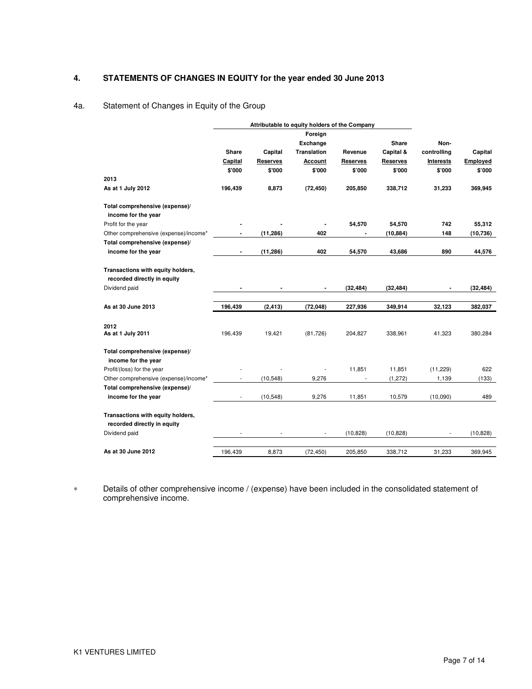# **4. STATEMENTS OF CHANGES IN EQUITY for the year ended 30 June 2013**

## 4a. Statement of Changes in Equity of the Group

|                                                                  |                          |                 | Attributable to equity holders of the Company |                 |                 |                  |           |
|------------------------------------------------------------------|--------------------------|-----------------|-----------------------------------------------|-----------------|-----------------|------------------|-----------|
|                                                                  |                          |                 | Foreign                                       |                 |                 |                  |           |
|                                                                  |                          |                 | <b>Exchange</b>                               |                 | Share           | Non-             |           |
|                                                                  | <b>Share</b>             | Capital         | <b>Translation</b>                            | Revenue         | Capital &       | controlling      | Capital   |
|                                                                  | Capital                  | <b>Reserves</b> | Account                                       | <b>Reserves</b> | <b>Reserves</b> | <b>Interests</b> | Employed  |
|                                                                  | \$'000                   | \$'000          | \$'000                                        | \$'000          | \$'000          | \$'000           | \$'000    |
| 2013                                                             |                          |                 |                                               |                 |                 |                  |           |
| As at 1 July 2012                                                | 196,439                  | 8,873           | (72, 450)                                     | 205,850         | 338,712         | 31,233           | 369,945   |
| Total comprehensive (expense)/                                   |                          |                 |                                               |                 |                 |                  |           |
| income for the year                                              |                          |                 |                                               |                 |                 |                  |           |
| Profit for the year                                              |                          |                 |                                               | 54,570          | 54,570          | 742              | 55,312    |
| Other comprehensive (expense)/income*                            |                          | (11, 286)       | 402                                           |                 | (10, 884)       | 148              | (10, 736) |
| Total comprehensive (expense)/                                   |                          |                 |                                               |                 |                 |                  |           |
| income for the year                                              | $\blacksquare$           | (11, 286)       | 402                                           | 54,570          | 43,686          | 890              | 44,576    |
| Transactions with equity holders,<br>recorded directly in equity |                          |                 |                                               |                 |                 |                  |           |
| Dividend paid                                                    |                          |                 | $\blacksquare$                                | (32, 484)       | (32, 484)       |                  | (32, 484) |
|                                                                  |                          |                 |                                               |                 |                 |                  |           |
| As at 30 June 2013                                               | 196,439                  | (2, 413)        | (72, 048)                                     | 227,936         | 349,914         | 32,123           | 382,037   |
| 2012                                                             |                          |                 |                                               |                 |                 |                  |           |
| As at 1 July 2011                                                | 196,439                  | 19,421          | (81, 726)                                     | 204,827         | 338,961         | 41,323           | 380,284   |
| Total comprehensive (expense)/<br>income for the year            |                          |                 |                                               |                 |                 |                  |           |
| Profit/(loss) for the year                                       |                          |                 | ÷,                                            | 11,851          | 11,851          | (11, 229)        | 622       |
| Other comprehensive (expense)/income*                            | $\sim$                   | (10,548)        | 9,276                                         | $\blacksquare$  | (1, 272)        | 1,139            | (133)     |
| Total comprehensive (expense)/                                   |                          |                 |                                               |                 |                 |                  |           |
| income for the year                                              | $\overline{\phantom{a}}$ | (10, 548)       | 9,276                                         | 11,851          | 10,579          | (10,090)         | 489       |
| Transactions with equity holders,<br>recorded directly in equity |                          |                 |                                               |                 |                 |                  |           |
| Dividend paid                                                    |                          |                 |                                               | (10, 828)       | (10, 828)       |                  | (10, 828) |
|                                                                  |                          |                 |                                               |                 |                 |                  |           |
| As at 30 June 2012                                               | 196,439                  | 8,873           | (72, 450)                                     | 205,850         | 338,712         | 31,233           | 369,945   |

∗ Details of other comprehensive income / (expense) have been included in the consolidated statement of comprehensive income.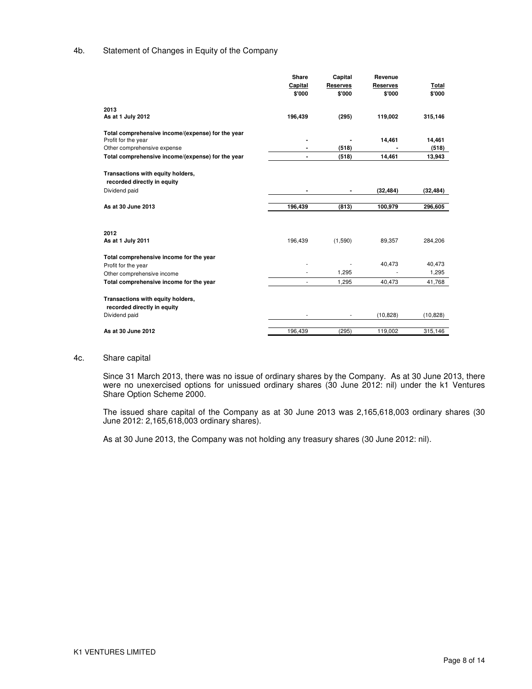### 4b. Statement of Changes in Equity of the Company

|                                                   | Share                    | Capital         | Revenue         |           |
|---------------------------------------------------|--------------------------|-----------------|-----------------|-----------|
|                                                   | Capital                  | <b>Reserves</b> | <b>Reserves</b> | Total     |
|                                                   | \$'000                   | \$'000          | \$'000          | \$'000    |
| 2013                                              |                          |                 |                 |           |
| As at 1 July 2012                                 | 196,439                  | (295)           | 119,002         | 315,146   |
| Total comprehensive income/(expense) for the year |                          |                 |                 |           |
| Profit for the year                               |                          |                 | 14,461          | 14,461    |
| Other comprehensive expense                       |                          | (518)           |                 | (518)     |
| Total comprehensive income/(expense) for the year | $\blacksquare$           | (518)           | 14,461          | 13,943    |
| Transactions with equity holders,                 |                          |                 |                 |           |
| recorded directly in equity                       |                          |                 |                 |           |
| Dividend paid                                     |                          |                 | (32, 484)       | (32, 484) |
|                                                   |                          |                 |                 |           |
| As at 30 June 2013                                | 196,439                  | (813)           | 100,979         | 296,605   |
|                                                   |                          |                 |                 |           |
| 2012                                              |                          |                 |                 |           |
| As at 1 July 2011                                 | 196,439                  | (1,590)         | 89,357          | 284,206   |
| Total comprehensive income for the year           |                          |                 |                 |           |
| Profit for the year                               |                          |                 | 40,473          | 40,473    |
| Other comprehensive income                        |                          | 1,295           |                 | 1,295     |
| Total comprehensive income for the year           | $\overline{\phantom{a}}$ | 1,295           | 40,473          | 41,768    |
| Transactions with equity holders,                 |                          |                 |                 |           |
| recorded directly in equity                       |                          |                 |                 |           |
| Dividend paid                                     |                          |                 | (10, 828)       | (10, 828) |
| As at 30 June 2012                                | 196,439                  | (295)           | 119,002         | 315,146   |
|                                                   |                          |                 |                 |           |

#### 4c. Share capital

Since 31 March 2013, there was no issue of ordinary shares by the Company. As at 30 June 2013, there were no unexercised options for unissued ordinary shares (30 June 2012: nil) under the k1 Ventures Share Option Scheme 2000.

The issued share capital of the Company as at 30 June 2013 was 2,165,618,003 ordinary shares (30 June 2012: 2,165,618,003 ordinary shares).

As at 30 June 2013, the Company was not holding any treasury shares (30 June 2012: nil).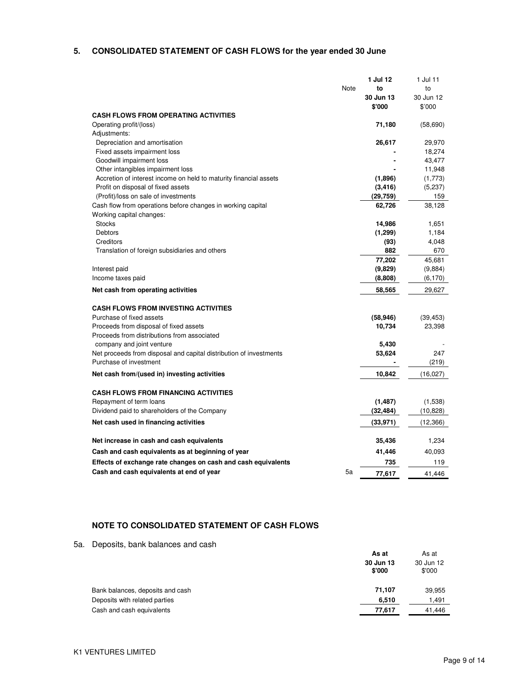# **5. CONSOLIDATED STATEMENT OF CASH FLOWS for the year ended 30 June**

|                                                                    |      | 1 Jul 12  | 1 Jul 11  |
|--------------------------------------------------------------------|------|-----------|-----------|
|                                                                    | Note | to        | to        |
|                                                                    |      | 30 Jun 13 | 30 Jun 12 |
|                                                                    |      | \$'000    | \$'000    |
| <b>CASH FLOWS FROM OPERATING ACTIVITIES</b>                        |      |           |           |
| Operating profit/(loss)                                            |      | 71,180    | (58,690)  |
|                                                                    |      |           |           |
| Adjustments:                                                       |      |           |           |
| Depreciation and amortisation                                      |      | 26,617    | 29,970    |
| Fixed assets impairment loss                                       |      |           | 18,274    |
| Goodwill impairment loss                                           |      |           | 43,477    |
| Other intangibles impairment loss                                  |      |           | 11,948    |
| Accretion of interest income on held to maturity financial assets  |      | (1,896)   | (1,773)   |
| Profit on disposal of fixed assets                                 |      | (3, 416)  | (5,237)   |
| (Profit)/loss on sale of investments                               |      | (29, 759) | 159       |
| Cash flow from operations before changes in working capital        |      | 62,726    | 38,128    |
| Working capital changes:                                           |      |           |           |
| <b>Stocks</b>                                                      |      | 14,986    | 1,651     |
| Debtors                                                            |      | (1, 299)  | 1,184     |
| Creditors                                                          |      | (93)      | 4,048     |
| Translation of foreign subsidiaries and others                     |      | 882       | 670       |
|                                                                    |      | 77,202    | 45,681    |
| Interest paid                                                      |      | (9,829)   | (9,884)   |
| Income taxes paid                                                  |      | (8,808)   | (6, 170)  |
| Net cash from operating activities                                 |      | 58,565    | 29,627    |
|                                                                    |      |           |           |
| CASH FLOWS FROM INVESTING ACTIVITIES                               |      |           |           |
| Purchase of fixed assets                                           |      | (58, 946) | (39, 453) |
| Proceeds from disposal of fixed assets                             |      | 10,734    | 23,398    |
| Proceeds from distributions from associated                        |      |           |           |
| company and joint venture                                          |      | 5,430     |           |
| Net proceeds from disposal and capital distribution of investments |      | 53.624    | 247       |
| Purchase of investment                                             |      |           | (219)     |
| Net cash from/(used in) investing activities                       |      | 10,842    | (16,027)  |
|                                                                    |      |           |           |
| <b>CASH FLOWS FROM FINANCING ACTIVITIES</b>                        |      |           |           |
| Repayment of term loans                                            |      | (1,487)   | (1,538)   |
| Dividend paid to shareholders of the Company                       |      | (32, 484) | (10,828)  |
| Net cash used in financing activities                              |      | (33, 971) | (12, 366) |
| Net increase in cash and cash equivalents                          |      | 35,436    | 1,234     |
| Cash and cash equivalents as at beginning of year                  |      | 41,446    | 40,093    |
| Effects of exchange rate changes on cash and cash equivalents      |      | 735       | 119       |
| Cash and cash equivalents at end of year                           | 5a   | 77.617    | 41.446    |
|                                                                    |      |           |           |

## **NOTE TO CONSOLIDATED STATEMENT OF CASH FLOWS**

5a. Deposits, bank balances and cash

|                                  | As at               | As at               |
|----------------------------------|---------------------|---------------------|
|                                  | 30 Jun 13<br>\$'000 | 30 Jun 12<br>\$'000 |
| Bank balances, deposits and cash | 71.107              | 39,955              |
| Deposits with related parties    | 6.510               | 1,491               |
| Cash and cash equivalents        | 77,617              | 41,446              |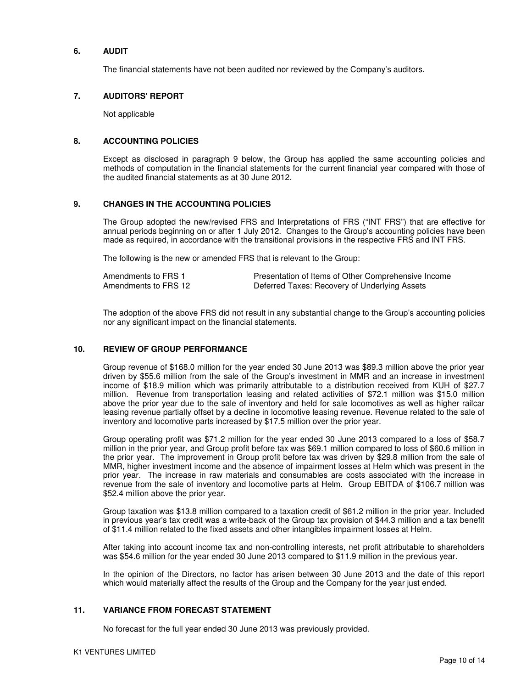#### **6. AUDIT**

The financial statements have not been audited nor reviewed by the Company's auditors.

#### **7. AUDITORS' REPORT**

Not applicable

### **8. ACCOUNTING POLICIES**

Except as disclosed in paragraph 9 below, the Group has applied the same accounting policies and methods of computation in the financial statements for the current financial year compared with those of the audited financial statements as at 30 June 2012.

#### **9. CHANGES IN THE ACCOUNTING POLICIES**

The Group adopted the new/revised FRS and Interpretations of FRS ("INT FRS") that are effective for annual periods beginning on or after 1 July 2012. Changes to the Group's accounting policies have been made as required, in accordance with the transitional provisions in the respective FRS and INT FRS.

The following is the new or amended FRS that is relevant to the Group:

| Amendments to FRS 1  | Presentation of Items of Other Comprehensive Income |
|----------------------|-----------------------------------------------------|
| Amendments to FRS 12 | Deferred Taxes: Recovery of Underlying Assets       |

The adoption of the above FRS did not result in any substantial change to the Group's accounting policies nor any significant impact on the financial statements.

### **10. REVIEW OF GROUP PERFORMANCE**

Group revenue of \$168.0 million for the year ended 30 June 2013 was \$89.3 million above the prior year driven by \$55.6 million from the sale of the Group's investment in MMR and an increase in investment income of \$18.9 million which was primarily attributable to a distribution received from KUH of \$27.7 million. Revenue from transportation leasing and related activities of \$72.1 million was \$15.0 million above the prior year due to the sale of inventory and held for sale locomotives as well as higher railcar leasing revenue partially offset by a decline in locomotive leasing revenue. Revenue related to the sale of inventory and locomotive parts increased by \$17.5 million over the prior year.

Group operating profit was \$71.2 million for the year ended 30 June 2013 compared to a loss of \$58.7 million in the prior year, and Group profit before tax was \$69.1 million compared to loss of \$60.6 million in the prior year. The improvement in Group profit before tax was driven by \$29.8 million from the sale of MMR, higher investment income and the absence of impairment losses at Helm which was present in the prior year. The increase in raw materials and consumables are costs associated with the increase in revenue from the sale of inventory and locomotive parts at Helm. Group EBITDA of \$106.7 million was \$52.4 million above the prior year.

Group taxation was \$13.8 million compared to a taxation credit of \$61.2 million in the prior year. Included in previous year's tax credit was a write-back of the Group tax provision of \$44.3 million and a tax benefit of \$11.4 million related to the fixed assets and other intangibles impairment losses at Helm.

After taking into account income tax and non-controlling interests, net profit attributable to shareholders was \$54.6 million for the year ended 30 June 2013 compared to \$11.9 million in the previous year.

In the opinion of the Directors, no factor has arisen between 30 June 2013 and the date of this report which would materially affect the results of the Group and the Company for the year just ended.

#### **11. VARIANCE FROM FORECAST STATEMENT**

No forecast for the full year ended 30 June 2013 was previously provided.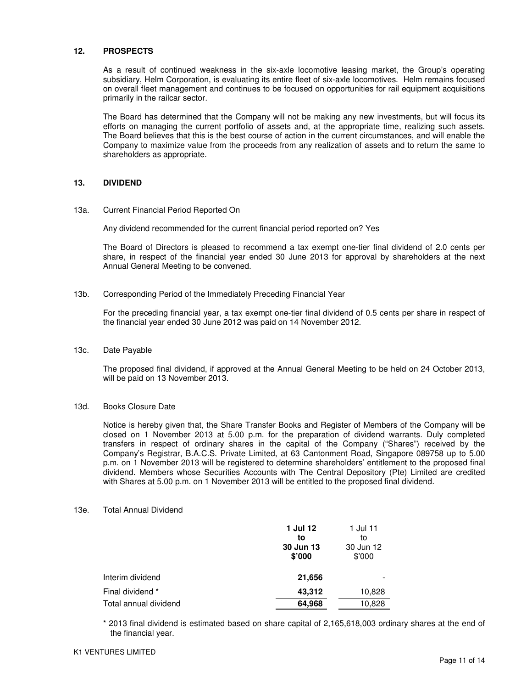#### **12. PROSPECTS**

As a result of continued weakness in the six-axle locomotive leasing market, the Group's operating subsidiary, Helm Corporation, is evaluating its entire fleet of six-axle locomotives. Helm remains focused on overall fleet management and continues to be focused on opportunities for rail equipment acquisitions primarily in the railcar sector.

The Board has determined that the Company will not be making any new investments, but will focus its efforts on managing the current portfolio of assets and, at the appropriate time, realizing such assets. The Board believes that this is the best course of action in the current circumstances, and will enable the Company to maximize value from the proceeds from any realization of assets and to return the same to shareholders as appropriate.

#### **13. DIVIDEND**

#### 13a. Current Financial Period Reported On

Any dividend recommended for the current financial period reported on? Yes

The Board of Directors is pleased to recommend a tax exempt one-tier final dividend of 2.0 cents per share, in respect of the financial year ended 30 June 2013 for approval by shareholders at the next Annual General Meeting to be convened.

13b. Corresponding Period of the Immediately Preceding Financial Year

For the preceding financial year, a tax exempt one-tier final dividend of 0.5 cents per share in respect of the financial year ended 30 June 2012 was paid on 14 November 2012.

#### 13c. Date Payable

The proposed final dividend, if approved at the Annual General Meeting to be held on 24 October 2013, will be paid on 13 November 2013.

#### 13d. Books Closure Date

Notice is hereby given that, the Share Transfer Books and Register of Members of the Company will be closed on 1 November 2013 at 5.00 p.m. for the preparation of dividend warrants. Duly completed transfers in respect of ordinary shares in the capital of the Company ("Shares") received by the Company's Registrar, B.A.C.S. Private Limited, at 63 Cantonment Road, Singapore 089758 up to 5.00 p.m. on 1 November 2013 will be registered to determine shareholders' entitlement to the proposed final dividend. Members whose Securities Accounts with The Central Depository (Pte) Limited are credited with Shares at 5.00 p.m. on 1 November 2013 will be entitled to the proposed final dividend.

#### 13e. Total Annual Dividend

|                       | 1 Jul 12<br>to<br>30 Jun 13<br>\$'000 | 1 Jul 11<br>to<br>30 Jun 12<br>\$7000 |
|-----------------------|---------------------------------------|---------------------------------------|
| Interim dividend      | 21,656                                |                                       |
| Final dividend *      | 43.312                                | 10,828                                |
| Total annual dividend | 64,968                                | 10,828                                |

\* 2013 final dividend is estimated based on share capital of 2,165,618,003 ordinary shares at the end of the financial year.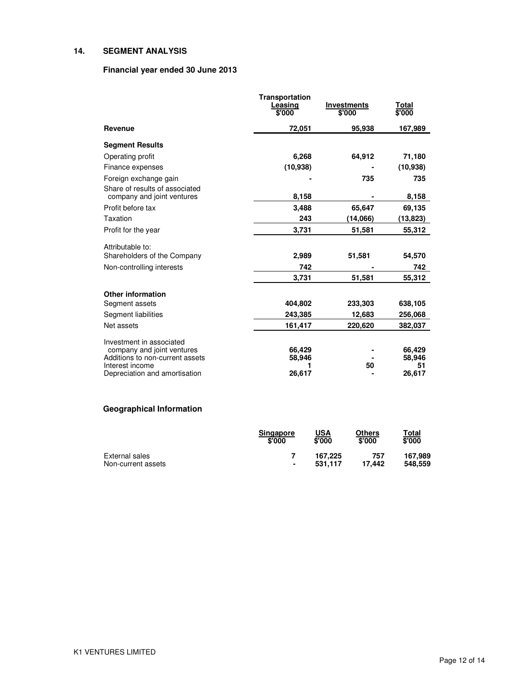## **14. SEGMENT ANALYSIS**

## **Financial year ended 30 June 2013**

|                                                    | Transportation<br>Leasing<br>\$'000 | <b>Investments</b><br>\$'000 | <u>Total</u><br>\$'000 |
|----------------------------------------------------|-------------------------------------|------------------------------|------------------------|
| Revenue                                            | 72,051                              | 95,938                       | 167,989                |
| <b>Segment Results</b>                             |                                     |                              |                        |
| Operating profit                                   | 6,268                               | 64,912                       | 71,180                 |
| Finance expenses                                   | (10, 938)                           |                              | (10, 938)              |
| Foreign exchange gain                              |                                     | 735                          | 735                    |
| Share of results of associated                     |                                     |                              |                        |
| company and joint ventures                         | 8,158                               |                              | 8,158                  |
| Profit before tax                                  | 3,488                               | 65,647                       | 69,135                 |
| Taxation                                           | 243                                 | (14,066)                     | (13,823)               |
| Profit for the year                                | 3,731                               | 51,581                       | 55,312                 |
| Attributable to:                                   |                                     |                              |                        |
| Shareholders of the Company                        | 2,989                               | 51,581                       | 54,570                 |
| Non-controlling interests                          | 742                                 |                              | 742                    |
|                                                    | 3,731                               | 51,581                       | 55,312                 |
| <b>Other information</b>                           |                                     |                              |                        |
| Segment assets                                     | 404,802                             | 233,303                      | 638,105                |
| Segment liabilities                                | 243,385                             | 12,683                       | 256,068                |
| Net assets                                         | 161,417                             | 220,620                      | 382,037                |
| Investment in associated                           |                                     |                              |                        |
| company and joint ventures                         | 66,429                              |                              | 66,429                 |
| Additions to non-current assets<br>Interest income | 58,946                              | 50                           | 58,946                 |
| Depreciation and amortisation                      | 26,617                              |                              | 51<br>26,617           |

# **Geographical Information**

|                    | <b>Singapore</b> | USA     | Others | Total   |
|--------------------|------------------|---------|--------|---------|
|                    | \$'000           | \$'000  | \$'000 | \$'000  |
| External sales     | ٠                | 167.225 | 757    | 167.989 |
| Non-current assets |                  | 531.117 | 17.442 | 548.559 |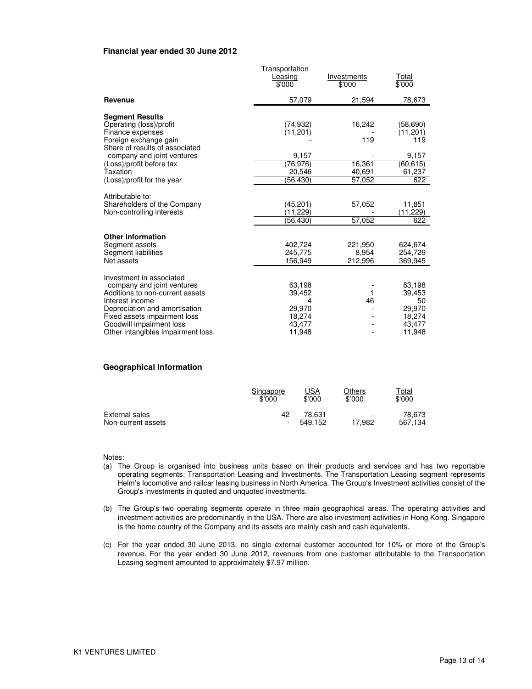#### **Financial year ended 30 June 2012**

|                                                                                                                                                                                                                                                | Transportation<br>Leasing<br>\$'000                                | Investments<br>\$'000                       | Total<br>$\sqrt{$000}$                                               |
|------------------------------------------------------------------------------------------------------------------------------------------------------------------------------------------------------------------------------------------------|--------------------------------------------------------------------|---------------------------------------------|----------------------------------------------------------------------|
| Revenue                                                                                                                                                                                                                                        | 57,079                                                             | 21,594                                      | 78,673                                                               |
| <b>Segment Results</b><br>Operating (loss)/profit<br>Finance expenses<br>Foreign exchange gain<br>Share of results of associated<br>company and joint ventures<br>(Loss)/profit before tax<br>Taxation<br>(Loss)/profit for the year           | (74,932)<br>(11, 201)<br>9.157<br>(76, 976)<br>20.546<br>(56, 430) | 16,242<br>119<br>16,361<br>40,691<br>57.052 | (58, 690)<br>(11, 201)<br>119<br>9,157<br>(60, 615)<br>61,237<br>622 |
| Attributable to:<br>Shareholders of the Company<br>Non-controlling interests                                                                                                                                                                   | (45,201)<br>(11,229)<br>(56,430)                                   | 57,052<br>57,052                            | 11,851<br>(11,229)<br>622                                            |
| <b>Other information</b><br>Segment assets<br>Segment liabilities<br>Net assets                                                                                                                                                                | 402,724<br>245,775<br>156,949                                      | 221,950<br>8,954<br>212,996                 | 624,674<br>254,729<br>369,945                                        |
| Investment in associated<br>company and joint ventures<br>Additions to non-current assets<br>Interest income<br>Depreciation and amortisation<br>Fixed assets impairment loss<br>Goodwill impairment loss<br>Other intangibles impairment loss | 63.198<br>39.452<br>4<br>29.970<br>18,274<br>43,477<br>11,948      | 1<br>46                                     | 63.198<br>39,453<br>50<br>29.970<br>18,274<br>43,477<br>11,948       |

#### **Geographical Information**

|                    | Singapore                | <u>USA</u> | Others                   | T <u>otal</u> |
|--------------------|--------------------------|------------|--------------------------|---------------|
|                    | \$'000                   | \$'000     | \$'000                   | \$'000        |
| External sales     | 42                       | 78.631     | $\overline{\phantom{a}}$ | 78.673        |
| Non-current assets | $\overline{\phantom{a}}$ | 549.152    | 17.982                   | 567.134       |

Notes:

- (a) The Group is organised into business units based on their products and services and has two reportable operating segments: Transportation Leasing and Investments. The Transportation Leasing segment represents Helm's locomotive and railcar leasing business in North America. The Group's Investment activities consist of the Group's investments in quoted and unquoted investments.
- (b) The Group's two operating segments operate in three main geographical areas. The operating activities and investment activities are predominantly in the USA. There are also investment activities in Hong Kong. Singapore is the home country of the Company and its assets are mainly cash and cash equivalents.
- (c) For the year ended 30 June 2013, no single external customer accounted for 10% or more of the Group's revenue. For the year ended 30 June 2012, revenues from one customer attributable to the Transportation Leasing segment amounted to approximately \$7.97 million.